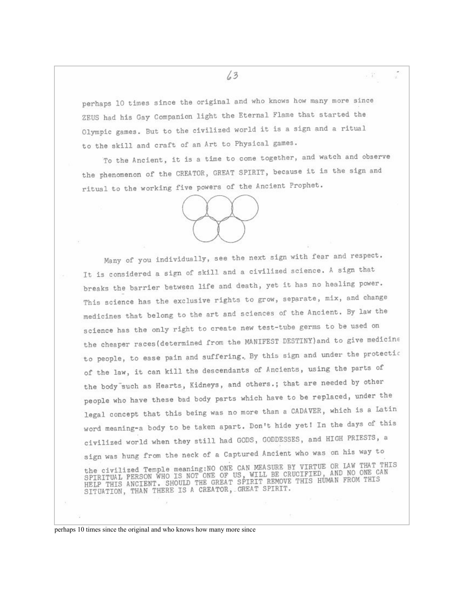perhaps 10 times since the original and who knows how many more since ZEUS had his Gay Companion light the Eternal Flame that started the Olympic games. But to the civilized world it is a sign and a ritual to the skill and craft of an Art to Physical games.

To the Ancient, it is a time to come together, and watch and observe the phenomenon of the CREATOR, GREAT SPIRIT, because it is the sign and ritual to the working five powers of the Ancient Prophet.



Many of you individually, see the next sign with fear and respect. It is considered a sign of skill and a civilized science. A sign that breaks the barrier between life and death, yet it has no healing power. This science has the exclusive rights to grow, separate, mix, and change medicines that belong to the art and sciences of the Ancient. By law the science has the only right to create new test-tube germs to be used on the cheaper races (determined from the MANIFEST DESTINY) and to give medicine to people, to ease pain and suffering. By this sign and under the protection of the law, it can kill the descendants of Ancients, using the parts of the body such as Hearts, Kidneys, and others.; that are needed by other people who have these bad body parts which have to be replaced, under the legal concept that this being was no more than a CADAVER, which is a Latin word meaning-a body to be taken apart. Don't hide yet! In the days of this civilized world when they still had GODS, GODDESSES, and HIGH PRIESTS, a sign was hung from the neck of a Captured Ancient who was on his way to the civilized Temple meaning: NO ONE CAN MEASURE BY VIRTUE OR LAW THAT THIS SPIRITUAL PERSON WHO IS NOT ONE OF US, WILL BE CRUCIFIED, AND NO ONE CAN HELP THIS ANCIENT. SHOULD THE GREAT SPIRIT REMOVE THIS HUMAN FROM THIS SI

perhaps 10 times since the original and who knows how many more since

 $13$